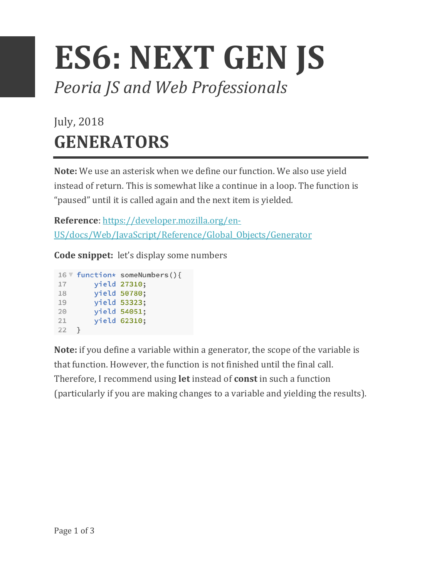## **ES6: NEXT GEN JS** *Peoria JS and Web Professionals*

## July, 2018 **GENERATORS**

**Note:** We use an asterisk when we define our function. We also use yield instead of return. This is somewhat like a continue in a loop. The function is "paused" until it is called again and the next item is yielded.

**Reference**: https://developer.mozilla.org/en-US/docs/Web/JavaScript/Reference/Global\_Objects/Generator

**Code snippet:** let's display some numbers

|    | 16 V function* someNumbers(){ |
|----|-------------------------------|
| 17 | yield 27310;                  |
| 18 | yield 50780;                  |
| 19 | yield 53323;                  |
| 20 | yield 54051;                  |
| 21 | yield 62310;                  |
| 22 |                               |

**Note:** if you define a variable within a generator, the scope of the variable is that function. However, the function is not finished until the final call. Therefore, I recommend using **let** instead of **const** in such a function (particularly if you are making changes to a variable and yielding the results).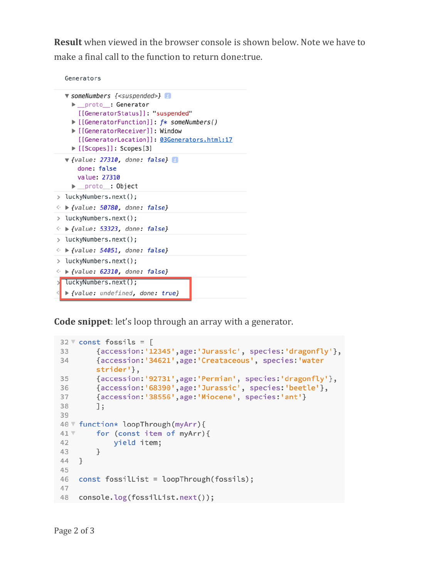**Result** when viewed in the browser console is shown below. Note we have to make a final call to the function to return done: true.

Generators

```
v someNumbers {<suspended>}
     proto : Generator
       [[GeneratorStatus]]: "suspended"
     ▶ [[GeneratorFunction]]: f* someNumbers()
     ▶ [[GeneratorReceiver]]: Window
       [[GeneratorLocation]]: 03Generators.html:17
     ▶ [[Scopes]]: Scopes[3]
  \blacktriangledown {value: 27310, done: false}
       done: false
       value: 27310
     proto_: Object
> luckyNumbers.next();
\leftrightarrow \triangleright {value: 50780, done: false}
> luckyNumbers.next();
\leftrightarrow \triangleright {value: 53323, done: false}
> luckyNumbers.next();
\leftrightarrow \blacktriangleright {value: 54051, done: false}
> luckyNumbers.next();
\leftrightarrow \triangleright {value: 62310, done: false}
  luckyNumbers.next();
   ▶ {value: undefined, done: true}
```
**Code snippet**: let's loop through an array with a generator.

```
32 \sqrt{3} const fossils = [
        {accession:'12345',age:'Jurassic', species:'dragonfly'},
33
34
        {accession:'34621',age:'Creataceous', species:'water
        strider'},
35
        {accession:'92731',age:'Permian', species:'dragonfly'},
        {accession:'68390',age:'Jurassic', species:'beetle'},
36
        {accession: '38556', age: 'Miocene', species: 'ant'}
37
38
        \exists;
39
40 V function* loopThrough(myArr){
41 Vfor (const item of myArr){
            yield item;
42
        \mathcal{L}43
44 }
45
46 const fossilList = loopThrough(fossils);
47
48 console.log(fossilList.next());
```